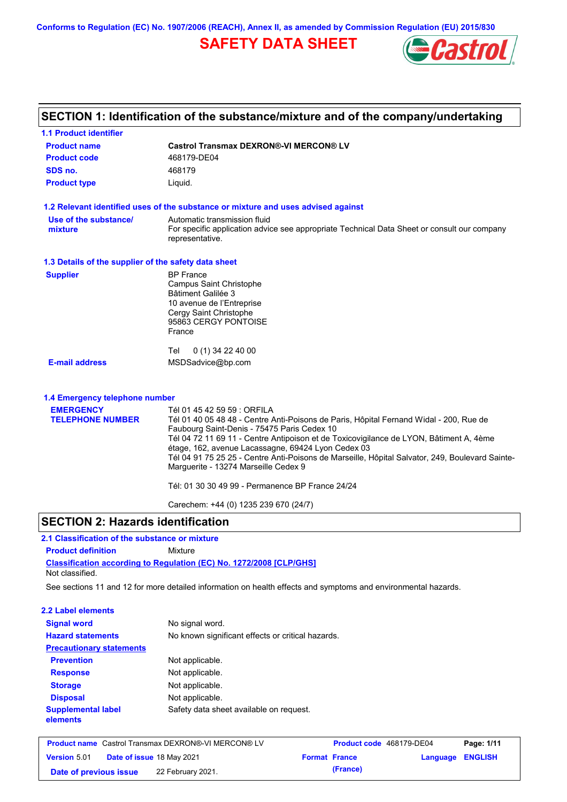**Conforms to Regulation (EC) No. 1907/2006 (REACH), Annex II, as amended by Commission Regulation (EU) 2015/830**

## **SAFETY DATA SHEET**



# **SECTION 1: Identification of the substance/mixture and of the company/undertaking**

| <b>1.1 Product identifier</b>                        |                                                                                                                                         |
|------------------------------------------------------|-----------------------------------------------------------------------------------------------------------------------------------------|
| <b>Product name</b>                                  | <b>Castrol Transmax DEXRON®-VI MERCON® LV</b>                                                                                           |
| <b>Product code</b>                                  | 468179-DE04                                                                                                                             |
| SDS no.                                              | 468179                                                                                                                                  |
| <b>Product type</b>                                  | Liguid.                                                                                                                                 |
|                                                      | 1.2 Relevant identified uses of the substance or mixture and uses advised against                                                       |
| Use of the substance/                                | Automatic transmission fluid                                                                                                            |
| mixture                                              | For specific application advice see appropriate Technical Data Sheet or consult our company<br>representative.                          |
| 1.3 Details of the supplier of the safety data sheet |                                                                                                                                         |
| <b>Supplier</b>                                      | <b>BP</b> France                                                                                                                        |
|                                                      | Campus Saint Christophe<br>Bâtiment Galilée 3                                                                                           |
|                                                      | 10 avenue de l'Entreprise                                                                                                               |
|                                                      | Cergy Saint Christophe                                                                                                                  |
|                                                      | 95863 CERGY PONTOISE<br>France                                                                                                          |
|                                                      |                                                                                                                                         |
|                                                      | Tel<br>0 (1) 34 22 40 00                                                                                                                |
| <b>E-mail address</b>                                | MSDSadvice@bp.com                                                                                                                       |
| 1.4 Emergency telephone number                       |                                                                                                                                         |
| <b>EMERGENCY</b>                                     | Tél 01 45 42 59 59 : ORFILA                                                                                                             |
| <b>TELEPHONE NUMBER</b>                              | Tél 01 40 05 48 48 - Centre Anti-Poisons de Paris, Hôpital Fernand Widal - 200, Rue de                                                  |
|                                                      | Faubourg Saint-Denis - 75475 Paris Cedex 10<br>Tél 04 72 11 69 11 - Centre Antipoison et de Toxicovigilance de LYON, Bâtiment A, 4ème   |
|                                                      | étage, 162, avenue Lacassagne, 69424 Lyon Cedex 03                                                                                      |
|                                                      | Tél 04 91 75 25 25 - Centre Anti-Poisons de Marseille, Hôpital Salvator, 249, Boulevard Sainte-<br>Marguerite - 13274 Marseille Cedex 9 |
|                                                      | Tél: 01 30 30 49 99 - Permanence BP France 24/24                                                                                        |
|                                                      | Carechem: +44 (0) 1235 239 670 (24/7)                                                                                                   |

## **SECTION 2: Hazards identification**

## **2.1 Classification of the substance or mixture**

**Product definition** Mixture

**Classification according to Regulation (EC) No. 1272/2008 [CLP/GHS]** Not classified.

See sections 11 and 12 for more detailed information on health effects and symptoms and environmental hazards.

#### **2.2 Label elements**

| <b>Signal word</b>                    | No signal word.                                   |
|---------------------------------------|---------------------------------------------------|
| <b>Hazard statements</b>              | No known significant effects or critical hazards. |
| <b>Precautionary statements</b>       |                                                   |
| <b>Prevention</b>                     | Not applicable.                                   |
| <b>Response</b>                       | Not applicable.                                   |
| <b>Storage</b>                        | Not applicable.                                   |
| <b>Disposal</b>                       | Not applicable.                                   |
| <b>Supplemental label</b><br>elements | Safety data sheet available on request.           |

|                        | <b>Product name</b> Castrol Transmax DEXRON®-VI MERCON® LV |                      | Product code 468179-DE04 |                         | Page: 1/11 |
|------------------------|------------------------------------------------------------|----------------------|--------------------------|-------------------------|------------|
| <b>Version 5.01</b>    | Date of issue 18 May 2021                                  | <b>Format France</b> |                          | <b>Language ENGLISH</b> |            |
| Date of previous issue | 22 February 2021.                                          |                      | (France)                 |                         |            |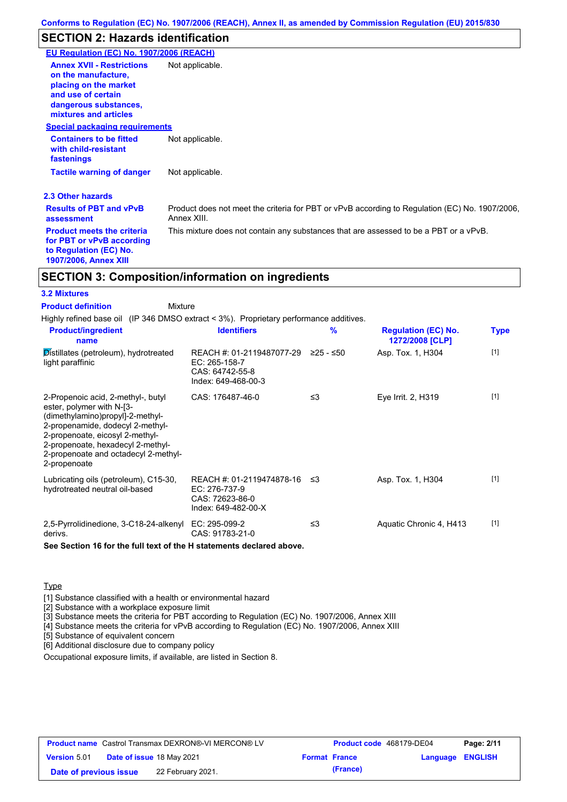# **SECTION 2: Hazards identification**

| EU Regulation (EC) No. 1907/2006 (REACH)                                                                      |
|---------------------------------------------------------------------------------------------------------------|
| Not applicable.                                                                                               |
| <b>Special packaging requirements</b>                                                                         |
| Not applicable.                                                                                               |
| Not applicable.                                                                                               |
|                                                                                                               |
| Product does not meet the criteria for PBT or vPvB according to Regulation (EC) No. 1907/2006,<br>Annex XIII. |
| This mixture does not contain any substances that are assessed to be a PBT or a vPvB.                         |
|                                                                                                               |

## **SECTION 3: Composition/information on ingredients**

| <b>3.2 Mixtures</b>                                                                                                                                                                                                                                                     |                                                                                        |           |                                               |             |
|-------------------------------------------------------------------------------------------------------------------------------------------------------------------------------------------------------------------------------------------------------------------------|----------------------------------------------------------------------------------------|-----------|-----------------------------------------------|-------------|
| <b>Product definition</b><br><b>Mixture</b>                                                                                                                                                                                                                             |                                                                                        |           |                                               |             |
| Highly refined base oil (IP 346 DMSO extract < 3%). Proprietary performance additives.                                                                                                                                                                                  |                                                                                        |           |                                               |             |
| <b>Product/ingredient</b><br>name                                                                                                                                                                                                                                       | <b>Identifiers</b>                                                                     | %         | <b>Regulation (EC) No.</b><br>1272/2008 [CLP] | <b>Type</b> |
| Distillates (petroleum), hydrotreated<br>light paraffinic                                                                                                                                                                                                               | REACH #: 01-2119487077-29<br>$EC: 265-158-7$<br>CAS: 64742-55-8<br>Index: 649-468-00-3 | ≥25 - ≤50 | Asp. Tox. 1, H304                             | $[1]$       |
| 2-Propenoic acid, 2-methyl-, butyl<br>ester, polymer with N-[3-<br>(dimethylamino)propyl]-2-methyl-<br>2-propenamide, dodecyl 2-methyl-<br>2-propenoate, eicosyl 2-methyl-<br>2-propenoate, hexadecyl 2-methyl-<br>2-propenoate and octadecyl 2-methyl-<br>2-propenoate | CAS: 176487-46-0                                                                       | $\leq$ 3  | Eye Irrit. 2, H319                            | $[1]$       |
| Lubricating oils (petroleum), C15-30,<br>hydrotreated neutral oil-based                                                                                                                                                                                                 | REACH #: 01-2119474878-16<br>EC: 276-737-9<br>CAS: 72623-86-0<br>Index: 649-482-00-X   | ו≥ ≤      | Asp. Tox. 1, H304                             | $[1]$       |
| 2,5-Pyrrolidinedione, 3-C18-24-alkenyl<br>derivs.                                                                                                                                                                                                                       | EC: 295-099-2<br>CAS: 91783-21-0                                                       | ≤3        | Aquatic Chronic 4, H413                       | $[1]$       |

**See Section 16 for the full text of the H statements declared above.**

#### Type

[1] Substance classified with a health or environmental hazard

[2] Substance with a workplace exposure limit

[3] Substance meets the criteria for PBT according to Regulation (EC) No. 1907/2006, Annex XIII

[4] Substance meets the criteria for vPvB according to Regulation (EC) No. 1907/2006, Annex XIII

[5] Substance of equivalent concern

[6] Additional disclosure due to company policy

Occupational exposure limits, if available, are listed in Section 8.

| <b>Product name</b> Castrol Transmax DEXRON®-VI MERCON® LV |  | Product code 468179-DE04         |                      | Page: 2/11 |                         |  |
|------------------------------------------------------------|--|----------------------------------|----------------------|------------|-------------------------|--|
| <b>Version 5.01</b>                                        |  | <b>Date of issue 18 May 2021</b> | <b>Format France</b> |            | <b>Language ENGLISH</b> |  |
| Date of previous issue                                     |  | 22 February 2021.                |                      | (France)   |                         |  |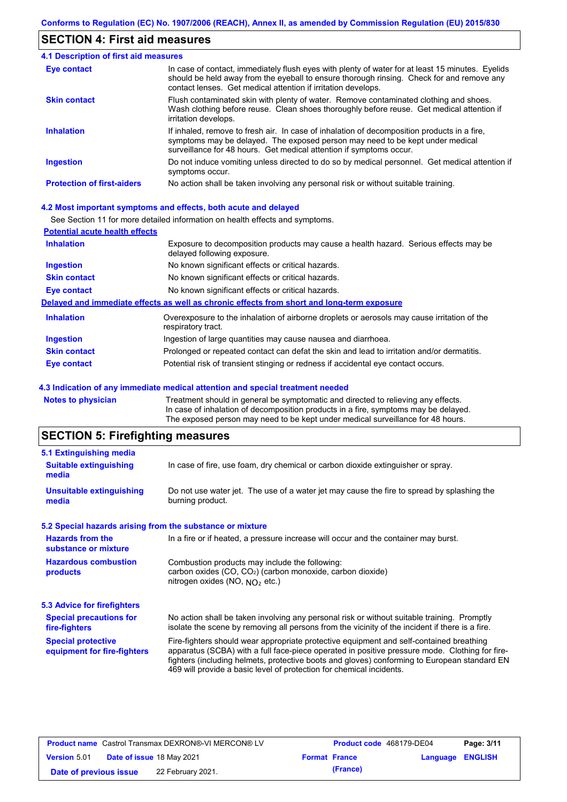## **SECTION 4: First aid measures**

| 4.1 Description of first aid measures |                                                                                                                                                                                                                                                                |  |  |  |  |
|---------------------------------------|----------------------------------------------------------------------------------------------------------------------------------------------------------------------------------------------------------------------------------------------------------------|--|--|--|--|
| Eye contact                           | In case of contact, immediately flush eyes with plenty of water for at least 15 minutes. Eyelids<br>should be held away from the eyeball to ensure thorough rinsing. Check for and remove any<br>contact lenses. Get medical attention if irritation develops. |  |  |  |  |
| <b>Skin contact</b>                   | Flush contaminated skin with plenty of water. Remove contaminated clothing and shoes.<br>Wash clothing before reuse. Clean shoes thoroughly before reuse. Get medical attention if<br>irritation develops.                                                     |  |  |  |  |
| <b>Inhalation</b>                     | If inhaled, remove to fresh air. In case of inhalation of decomposition products in a fire,<br>symptoms may be delayed. The exposed person may need to be kept under medical<br>surveillance for 48 hours. Get medical attention if symptoms occur.            |  |  |  |  |
| <b>Ingestion</b>                      | Do not induce vomiting unless directed to do so by medical personnel. Get medical attention if<br>symptoms occur.                                                                                                                                              |  |  |  |  |
| <b>Protection of first-aiders</b>     | No action shall be taken involving any personal risk or without suitable training.                                                                                                                                                                             |  |  |  |  |

#### **4.2 Most important symptoms and effects, both acute and delayed**

See Section 11 for more detailed information on health effects and symptoms.

| <b>Potential acute health effects</b> |                                                                                                                     |  |  |  |  |
|---------------------------------------|---------------------------------------------------------------------------------------------------------------------|--|--|--|--|
| <b>Inhalation</b>                     | Exposure to decomposition products may cause a health hazard. Serious effects may be<br>delayed following exposure. |  |  |  |  |
| <b>Ingestion</b>                      | No known significant effects or critical hazards.                                                                   |  |  |  |  |
| <b>Skin contact</b>                   | No known significant effects or critical hazards.                                                                   |  |  |  |  |
| Eye contact                           | No known significant effects or critical hazards.                                                                   |  |  |  |  |
|                                       | Delayed and immediate effects as well as chronic effects from short and long-term exposure                          |  |  |  |  |
| <b>Inhalation</b>                     | Overexposure to the inhalation of airborne droplets or aerosols may cause irritation of the<br>respiratory tract.   |  |  |  |  |
| <b>Ingestion</b>                      | Ingestion of large quantities may cause nausea and diarrhoea.                                                       |  |  |  |  |
| <b>Skin contact</b>                   | Prolonged or repeated contact can defat the skin and lead to irritation and/or dermatitis.                          |  |  |  |  |
| Eye contact                           | Potential risk of transient stinging or redness if accidental eye contact occurs.                                   |  |  |  |  |
|                                       |                                                                                                                     |  |  |  |  |

#### **4.3 Indication of any immediate medical attention and special treatment needed**

**Notes to physician** Treatment should in general be symptomatic and directed to relieving any effects. In case of inhalation of decomposition products in a fire, symptoms may be delayed. The exposed person may need to be kept under medical surveillance for 48 hours.

## **SECTION 5: Firefighting measures**

| 5.1 Extinguishing media                                   |                                                                                                                                                                                                                                                                                                                                                                   |  |  |  |  |
|-----------------------------------------------------------|-------------------------------------------------------------------------------------------------------------------------------------------------------------------------------------------------------------------------------------------------------------------------------------------------------------------------------------------------------------------|--|--|--|--|
| <b>Suitable extinguishing</b><br>media                    | In case of fire, use foam, dry chemical or carbon dioxide extinguisher or spray.                                                                                                                                                                                                                                                                                  |  |  |  |  |
| <b>Unsuitable extinguishing</b><br>media                  | Do not use water jet. The use of a water jet may cause the fire to spread by splashing the<br>burning product.                                                                                                                                                                                                                                                    |  |  |  |  |
| 5.2 Special hazards arising from the substance or mixture |                                                                                                                                                                                                                                                                                                                                                                   |  |  |  |  |
| <b>Hazards from the</b><br>substance or mixture           | In a fire or if heated, a pressure increase will occur and the container may burst.                                                                                                                                                                                                                                                                               |  |  |  |  |
| <b>Hazardous combustion</b><br>products                   | Combustion products may include the following:<br>carbon oxides (CO, CO <sub>2</sub> ) (carbon monoxide, carbon dioxide)<br>nitrogen oxides (NO, $NO2$ etc.)                                                                                                                                                                                                      |  |  |  |  |
| 5.3 Advice for firefighters                               |                                                                                                                                                                                                                                                                                                                                                                   |  |  |  |  |
| <b>Special precautions for</b><br>fire-fighters           | No action shall be taken involving any personal risk or without suitable training. Promptly<br>isolate the scene by removing all persons from the vicinity of the incident if there is a fire.                                                                                                                                                                    |  |  |  |  |
| <b>Special protective</b><br>equipment for fire-fighters  | Fire-fighters should wear appropriate protective equipment and self-contained breathing<br>apparatus (SCBA) with a full face-piece operated in positive pressure mode. Clothing for fire-<br>fighters (including helmets, protective boots and gloves) conforming to European standard EN<br>469 will provide a basic level of protection for chemical incidents. |  |  |  |  |

| <b>Product name</b> Castrol Transmax DEXRON®-VI MERCON® LV |  | <b>Product code</b> 468179-DE04  |                      | Page: 3/11 |                  |  |
|------------------------------------------------------------|--|----------------------------------|----------------------|------------|------------------|--|
| <b>Version 5.01</b>                                        |  | <b>Date of issue 18 May 2021</b> | <b>Format France</b> |            | Language ENGLISH |  |
| Date of previous issue                                     |  | 22 February 2021.                |                      | (France)   |                  |  |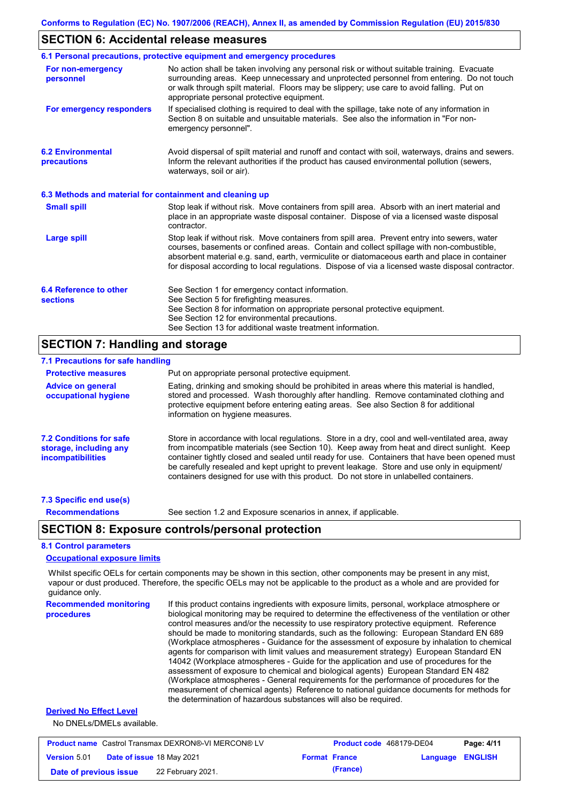## **SECTION 6: Accidental release measures**

|                                                          | 6.1 Personal precautions, protective equipment and emergency procedures                                                                                                                                                                                                                                                                                                                        |
|----------------------------------------------------------|------------------------------------------------------------------------------------------------------------------------------------------------------------------------------------------------------------------------------------------------------------------------------------------------------------------------------------------------------------------------------------------------|
| For non-emergency<br>personnel                           | No action shall be taken involving any personal risk or without suitable training. Evacuate<br>surrounding areas. Keep unnecessary and unprotected personnel from entering. Do not touch<br>or walk through spilt material. Floors may be slippery; use care to avoid falling. Put on<br>appropriate personal protective equipment.                                                            |
| For emergency responders                                 | If specialised clothing is required to deal with the spillage, take note of any information in<br>Section 8 on suitable and unsuitable materials. See also the information in "For non-<br>emergency personnel".                                                                                                                                                                               |
| <b>6.2 Environmental</b><br>precautions                  | Avoid dispersal of spilt material and runoff and contact with soil, waterways, drains and sewers.<br>Inform the relevant authorities if the product has caused environmental pollution (sewers,<br>waterways, soil or air).                                                                                                                                                                    |
| 6.3 Methods and material for containment and cleaning up |                                                                                                                                                                                                                                                                                                                                                                                                |
| <b>Small spill</b>                                       | Stop leak if without risk. Move containers from spill area. Absorb with an inert material and<br>place in an appropriate waste disposal container. Dispose of via a licensed waste disposal<br>contractor.                                                                                                                                                                                     |
| Large spill                                              | Stop leak if without risk. Move containers from spill area. Prevent entry into sewers, water<br>courses, basements or confined areas. Contain and collect spillage with non-combustible,<br>absorbent material e.g. sand, earth, vermiculite or diatomaceous earth and place in container<br>for disposal according to local regulations. Dispose of via a licensed waste disposal contractor. |
| 6.4 Reference to other<br><b>sections</b>                | See Section 1 for emergency contact information.<br>See Section 5 for firefighting measures.<br>See Section 8 for information on appropriate personal protective equipment.<br>See Section 12 for environmental precautions.<br>See Section 13 for additional waste treatment information.                                                                                                     |

## **SECTION 7: Handling and storage**

| 7.1 Precautions for safe handling                                                    |                                                                                                                                                                                                                                                                                                                                                                                                                                                                                          |
|--------------------------------------------------------------------------------------|------------------------------------------------------------------------------------------------------------------------------------------------------------------------------------------------------------------------------------------------------------------------------------------------------------------------------------------------------------------------------------------------------------------------------------------------------------------------------------------|
| <b>Protective measures</b>                                                           | Put on appropriate personal protective equipment.                                                                                                                                                                                                                                                                                                                                                                                                                                        |
| <b>Advice on general</b><br>occupational hygiene                                     | Eating, drinking and smoking should be prohibited in areas where this material is handled.<br>stored and processed. Wash thoroughly after handling. Remove contaminated clothing and<br>protective equipment before entering eating areas. See also Section 8 for additional<br>information on hygiene measures.                                                                                                                                                                         |
| <b>7.2 Conditions for safe</b><br>storage, including any<br><i>incompatibilities</i> | Store in accordance with local regulations. Store in a dry, cool and well-ventilated area, away<br>from incompatible materials (see Section 10). Keep away from heat and direct sunlight. Keep<br>container tightly closed and sealed until ready for use. Containers that have been opened must<br>be carefully resealed and kept upright to prevent leakage. Store and use only in equipment/<br>containers designed for use with this product. Do not store in unlabelled containers. |
| 7.3 Specific end use(s)                                                              |                                                                                                                                                                                                                                                                                                                                                                                                                                                                                          |

**Recommendations**

See section 1.2 and Exposure scenarios in annex, if applicable.

## **SECTION 8: Exposure controls/personal protection**

#### **8.1 Control parameters**

#### **Occupational exposure limits**

Whilst specific OELs for certain components may be shown in this section, other components may be present in any mist, vapour or dust produced. Therefore, the specific OELs may not be applicable to the product as a whole and are provided for guidance only.

**Recommended monitoring procedures** If this product contains ingredients with exposure limits, personal, workplace atmosphere or biological monitoring may be required to determine the effectiveness of the ventilation or other control measures and/or the necessity to use respiratory protective equipment. Reference should be made to monitoring standards, such as the following: European Standard EN 689 (Workplace atmospheres - Guidance for the assessment of exposure by inhalation to chemical agents for comparison with limit values and measurement strategy) European Standard EN 14042 (Workplace atmospheres - Guide for the application and use of procedures for the assessment of exposure to chemical and biological agents) European Standard EN 482 (Workplace atmospheres - General requirements for the performance of procedures for the measurement of chemical agents) Reference to national guidance documents for methods for the determination of hazardous substances will also be required.

#### **Derived No Effect Level**

No DNELs/DMELs available.

| <b>Product name</b> Castrol Transmax DEXRON®-VI MERCON® LV |  |                           | Product code 468179-DE04 |                      | Page: 4/11              |  |
|------------------------------------------------------------|--|---------------------------|--------------------------|----------------------|-------------------------|--|
| <b>Version 5.01</b>                                        |  | Date of issue 18 May 2021 |                          | <b>Format France</b> | <b>Language ENGLISH</b> |  |
| Date of previous issue                                     |  | 22 February 2021.         |                          | (France)             |                         |  |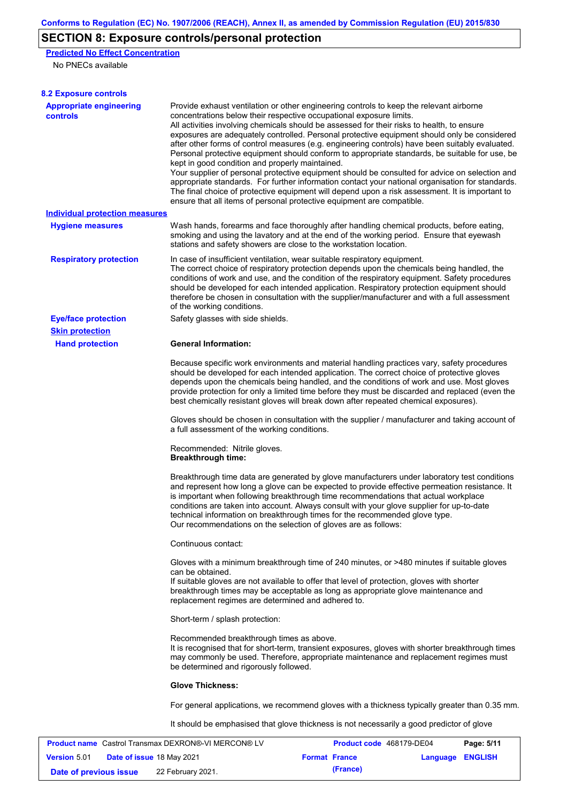## **SECTION 8: Exposure controls/personal protection**

**Predicted No Effect Concentration**

No PNECs available

| <b>8.2 Exposure controls</b>                        |                                                                                                                                                                                                                                                                                                                                                                                                                                                                                                                                                                                                                                                                                                                                                                                                                                                                                                                                                                                                         |                          |          |                |
|-----------------------------------------------------|---------------------------------------------------------------------------------------------------------------------------------------------------------------------------------------------------------------------------------------------------------------------------------------------------------------------------------------------------------------------------------------------------------------------------------------------------------------------------------------------------------------------------------------------------------------------------------------------------------------------------------------------------------------------------------------------------------------------------------------------------------------------------------------------------------------------------------------------------------------------------------------------------------------------------------------------------------------------------------------------------------|--------------------------|----------|----------------|
| <b>Appropriate engineering</b><br><b>controls</b>   | Provide exhaust ventilation or other engineering controls to keep the relevant airborne<br>concentrations below their respective occupational exposure limits.<br>All activities involving chemicals should be assessed for their risks to health, to ensure<br>exposures are adequately controlled. Personal protective equipment should only be considered<br>after other forms of control measures (e.g. engineering controls) have been suitably evaluated.<br>Personal protective equipment should conform to appropriate standards, be suitable for use, be<br>kept in good condition and properly maintained.<br>Your supplier of personal protective equipment should be consulted for advice on selection and<br>appropriate standards. For further information contact your national organisation for standards.<br>The final choice of protective equipment will depend upon a risk assessment. It is important to<br>ensure that all items of personal protective equipment are compatible. |                          |          |                |
| <b>Individual protection measures</b>               |                                                                                                                                                                                                                                                                                                                                                                                                                                                                                                                                                                                                                                                                                                                                                                                                                                                                                                                                                                                                         |                          |          |                |
| <b>Hygiene measures</b>                             | Wash hands, forearms and face thoroughly after handling chemical products, before eating,<br>smoking and using the lavatory and at the end of the working period. Ensure that eyewash<br>stations and safety showers are close to the workstation location.                                                                                                                                                                                                                                                                                                                                                                                                                                                                                                                                                                                                                                                                                                                                             |                          |          |                |
| <b>Respiratory protection</b>                       | In case of insufficient ventilation, wear suitable respiratory equipment.<br>The correct choice of respiratory protection depends upon the chemicals being handled, the<br>conditions of work and use, and the condition of the respiratory equipment. Safety procedures<br>should be developed for each intended application. Respiratory protection equipment should<br>therefore be chosen in consultation with the supplier/manufacturer and with a full assessment<br>of the working conditions.                                                                                                                                                                                                                                                                                                                                                                                                                                                                                                   |                          |          |                |
| <b>Eye/face protection</b>                          | Safety glasses with side shields.                                                                                                                                                                                                                                                                                                                                                                                                                                                                                                                                                                                                                                                                                                                                                                                                                                                                                                                                                                       |                          |          |                |
| <b>Skin protection</b>                              |                                                                                                                                                                                                                                                                                                                                                                                                                                                                                                                                                                                                                                                                                                                                                                                                                                                                                                                                                                                                         |                          |          |                |
| <b>Hand protection</b>                              | <b>General Information:</b>                                                                                                                                                                                                                                                                                                                                                                                                                                                                                                                                                                                                                                                                                                                                                                                                                                                                                                                                                                             |                          |          |                |
|                                                     | Because specific work environments and material handling practices vary, safety procedures<br>should be developed for each intended application. The correct choice of protective gloves<br>depends upon the chemicals being handled, and the conditions of work and use. Most gloves<br>provide protection for only a limited time before they must be discarded and replaced (even the<br>best chemically resistant gloves will break down after repeated chemical exposures).                                                                                                                                                                                                                                                                                                                                                                                                                                                                                                                        |                          |          |                |
|                                                     | Gloves should be chosen in consultation with the supplier / manufacturer and taking account of<br>a full assessment of the working conditions.                                                                                                                                                                                                                                                                                                                                                                                                                                                                                                                                                                                                                                                                                                                                                                                                                                                          |                          |          |                |
|                                                     | Recommended: Nitrile gloves.<br><b>Breakthrough time:</b>                                                                                                                                                                                                                                                                                                                                                                                                                                                                                                                                                                                                                                                                                                                                                                                                                                                                                                                                               |                          |          |                |
|                                                     | Breakthrough time data are generated by glove manufacturers under laboratory test conditions<br>and represent how long a glove can be expected to provide effective permeation resistance. It<br>is important when following breakthrough time recommendations that actual workplace<br>conditions are taken into account. Always consult with your glove supplier for up-to-date<br>technical information on breakthrough times for the recommended glove type.<br>Our recommendations on the selection of gloves are as follows:                                                                                                                                                                                                                                                                                                                                                                                                                                                                      |                          |          |                |
|                                                     | Continuous contact:                                                                                                                                                                                                                                                                                                                                                                                                                                                                                                                                                                                                                                                                                                                                                                                                                                                                                                                                                                                     |                          |          |                |
|                                                     | Gloves with a minimum breakthrough time of 240 minutes, or >480 minutes if suitable gloves<br>can be obtained.<br>If suitable gloves are not available to offer that level of protection, gloves with shorter<br>breakthrough times may be acceptable as long as appropriate glove maintenance and<br>replacement regimes are determined and adhered to.                                                                                                                                                                                                                                                                                                                                                                                                                                                                                                                                                                                                                                                |                          |          |                |
|                                                     | Short-term / splash protection:                                                                                                                                                                                                                                                                                                                                                                                                                                                                                                                                                                                                                                                                                                                                                                                                                                                                                                                                                                         |                          |          |                |
|                                                     | Recommended breakthrough times as above.<br>It is recognised that for short-term, transient exposures, gloves with shorter breakthrough times<br>may commonly be used. Therefore, appropriate maintenance and replacement regimes must<br>be determined and rigorously followed.                                                                                                                                                                                                                                                                                                                                                                                                                                                                                                                                                                                                                                                                                                                        |                          |          |                |
|                                                     | <b>Glove Thickness:</b>                                                                                                                                                                                                                                                                                                                                                                                                                                                                                                                                                                                                                                                                                                                                                                                                                                                                                                                                                                                 |                          |          |                |
|                                                     | For general applications, we recommend gloves with a thickness typically greater than 0.35 mm.                                                                                                                                                                                                                                                                                                                                                                                                                                                                                                                                                                                                                                                                                                                                                                                                                                                                                                          |                          |          |                |
|                                                     | It should be emphasised that glove thickness is not necessarily a good predictor of glove                                                                                                                                                                                                                                                                                                                                                                                                                                                                                                                                                                                                                                                                                                                                                                                                                                                                                                               |                          |          |                |
| Product name Castrol Transmax DEXRON®-VI MERCON® LV |                                                                                                                                                                                                                                                                                                                                                                                                                                                                                                                                                                                                                                                                                                                                                                                                                                                                                                                                                                                                         | Product code 468179-DE04 |          | Page: 5/11     |
| <b>Version 5.01</b><br>Date of issue 18 May 2021    |                                                                                                                                                                                                                                                                                                                                                                                                                                                                                                                                                                                                                                                                                                                                                                                                                                                                                                                                                                                                         | <b>Format France</b>     | Language | <b>ENGLISH</b> |

**Date of previous issue (France)** 22 February 2021.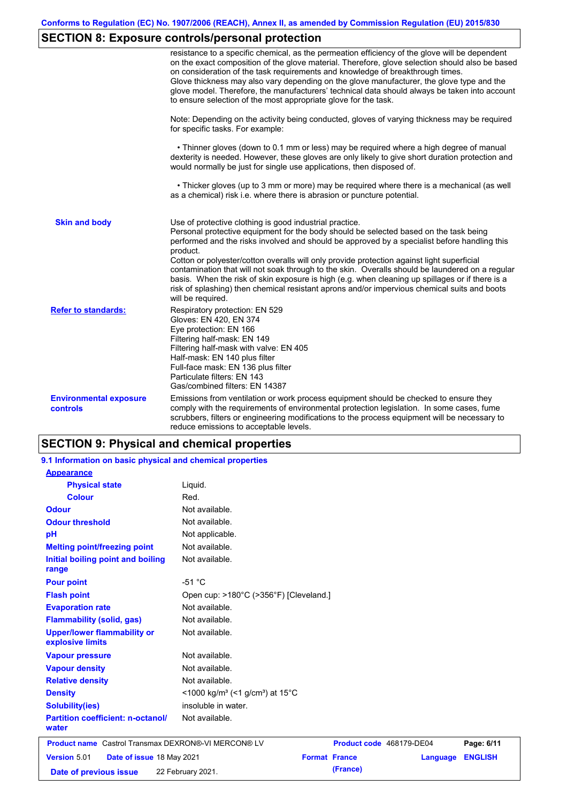# **SECTION 8: Exposure controls/personal protection**

|                                                  | resistance to a specific chemical, as the permeation efficiency of the glove will be dependent<br>on the exact composition of the glove material. Therefore, glove selection should also be based<br>on consideration of the task requirements and knowledge of breakthrough times.<br>Glove thickness may also vary depending on the glove manufacturer, the glove type and the<br>glove model. Therefore, the manufacturers' technical data should always be taken into account<br>to ensure selection of the most appropriate glove for the task.                                                                                                                                  |
|--------------------------------------------------|---------------------------------------------------------------------------------------------------------------------------------------------------------------------------------------------------------------------------------------------------------------------------------------------------------------------------------------------------------------------------------------------------------------------------------------------------------------------------------------------------------------------------------------------------------------------------------------------------------------------------------------------------------------------------------------|
|                                                  | Note: Depending on the activity being conducted, gloves of varying thickness may be required<br>for specific tasks. For example:                                                                                                                                                                                                                                                                                                                                                                                                                                                                                                                                                      |
|                                                  | • Thinner gloves (down to 0.1 mm or less) may be required where a high degree of manual<br>dexterity is needed. However, these gloves are only likely to give short duration protection and<br>would normally be just for single use applications, then disposed of.                                                                                                                                                                                                                                                                                                                                                                                                                  |
|                                                  | • Thicker gloves (up to 3 mm or more) may be required where there is a mechanical (as well<br>as a chemical) risk i.e. where there is abrasion or puncture potential.                                                                                                                                                                                                                                                                                                                                                                                                                                                                                                                 |
| <b>Skin and body</b>                             | Use of protective clothing is good industrial practice.<br>Personal protective equipment for the body should be selected based on the task being<br>performed and the risks involved and should be approved by a specialist before handling this<br>product.<br>Cotton or polyester/cotton overalls will only provide protection against light superficial<br>contamination that will not soak through to the skin. Overalls should be laundered on a regular<br>basis. When the risk of skin exposure is high (e.g. when cleaning up spillages or if there is a<br>risk of splashing) then chemical resistant aprons and/or impervious chemical suits and boots<br>will be required. |
| <b>Refer to standards:</b>                       | Respiratory protection: EN 529<br>Gloves: EN 420, EN 374<br>Eye protection: EN 166<br>Filtering half-mask: EN 149<br>Filtering half-mask with valve: EN 405<br>Half-mask: EN 140 plus filter<br>Full-face mask: EN 136 plus filter<br>Particulate filters: EN 143<br>Gas/combined filters: EN 14387                                                                                                                                                                                                                                                                                                                                                                                   |
| <b>Environmental exposure</b><br><b>controls</b> | Emissions from ventilation or work process equipment should be checked to ensure they<br>comply with the requirements of environmental protection legislation. In some cases, fume<br>scrubbers, filters or engineering modifications to the process equipment will be necessary to<br>reduce emissions to acceptable levels.                                                                                                                                                                                                                                                                                                                                                         |

## **SECTION 9: Physical and chemical properties**

| 9.1 Information on basic physical and chemical properties  |                                                                         |                                  |                |
|------------------------------------------------------------|-------------------------------------------------------------------------|----------------------------------|----------------|
| <b>Appearance</b>                                          |                                                                         |                                  |                |
| <b>Physical state</b>                                      | Liquid.                                                                 |                                  |                |
| <b>Colour</b>                                              | Red.                                                                    |                                  |                |
| <b>Odour</b>                                               | Not available.                                                          |                                  |                |
| <b>Odour threshold</b>                                     | Not available.                                                          |                                  |                |
| pH                                                         | Not applicable.                                                         |                                  |                |
| <b>Melting point/freezing point</b>                        | Not available.                                                          |                                  |                |
| Initial boiling point and boiling<br>range                 | Not available.                                                          |                                  |                |
| <b>Pour point</b>                                          | $-51 °C$                                                                |                                  |                |
| <b>Flash point</b>                                         | Open cup: >180°C (>356°F) [Cleveland.]                                  |                                  |                |
| <b>Evaporation rate</b>                                    | Not available.                                                          |                                  |                |
| <b>Flammability (solid, gas)</b>                           | Not available.                                                          |                                  |                |
| <b>Upper/lower flammability or</b><br>explosive limits     | Not available.                                                          |                                  |                |
| <b>Vapour pressure</b>                                     | Not available.                                                          |                                  |                |
| <b>Vapour density</b>                                      | Not available.                                                          |                                  |                |
| <b>Relative density</b>                                    | Not available.                                                          |                                  |                |
| <b>Density</b>                                             | $<$ 1000 kg/m <sup>3</sup> (<1 g/cm <sup>3</sup> ) at 15 <sup>°</sup> C |                                  |                |
| <b>Solubility(ies)</b>                                     | insoluble in water.                                                     |                                  |                |
| <b>Partition coefficient: n-octanol/</b><br>water          | Not available.                                                          |                                  |                |
| <b>Product name</b> Castrol Transmax DEXRON®-VI MERCON® LV |                                                                         | Product code 468179-DE04         | Page: 6/11     |
| Version 5.01<br>Date of issue 18 May 2021                  |                                                                         | <b>Format France</b><br>Language | <b>ENGLISH</b> |
| Date of previous issue                                     | 22 February 2021.                                                       | (France)                         |                |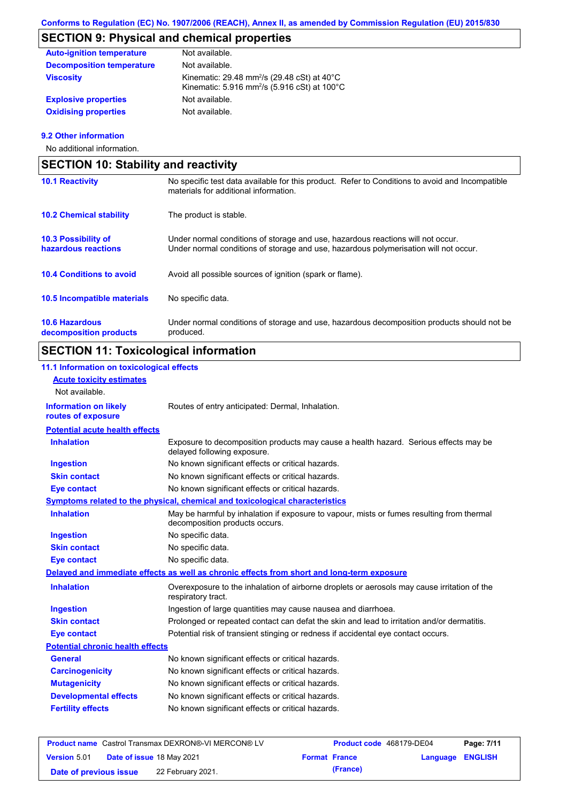# **SECTION 9: Physical and chemical properties**

| <b>Auto-ignition temperature</b> | Not available.                                                                                                                           |
|----------------------------------|------------------------------------------------------------------------------------------------------------------------------------------|
| <b>Decomposition temperature</b> | Not available.                                                                                                                           |
| <b>Viscosity</b>                 | Kinematic: 29.48 mm <sup>2</sup> /s (29.48 cSt) at $40^{\circ}$ C<br>Kinematic: 5.916 mm <sup>2</sup> /s (5.916 cSt) at 100 $^{\circ}$ C |
| <b>Explosive properties</b>      | Not available.                                                                                                                           |
| <b>Oxidising properties</b>      | Not available.                                                                                                                           |

### **9.2 Other information**

No additional information.

| <b>SECTION 10: Stability and reactivity</b>       |                                                                                                                                                                         |  |  |
|---------------------------------------------------|-------------------------------------------------------------------------------------------------------------------------------------------------------------------------|--|--|
| <b>10.1 Reactivity</b>                            | No specific test data available for this product. Refer to Conditions to avoid and Incompatible<br>materials for additional information.                                |  |  |
| <b>10.2 Chemical stability</b>                    | The product is stable.                                                                                                                                                  |  |  |
| <b>10.3 Possibility of</b><br>hazardous reactions | Under normal conditions of storage and use, hazardous reactions will not occur.<br>Under normal conditions of storage and use, hazardous polymerisation will not occur. |  |  |
| <b>10.4 Conditions to avoid</b>                   | Avoid all possible sources of ignition (spark or flame).                                                                                                                |  |  |
| <b>10.5 Incompatible materials</b>                | No specific data.                                                                                                                                                       |  |  |
| <b>10.6 Hazardous</b><br>decomposition products   | Under normal conditions of storage and use, hazardous decomposition products should not be<br>produced.                                                                 |  |  |

## **SECTION 11: Toxicological information**

## **11.1 Information on toxicological effects**

| <b>Acute toxicity estimates</b>                    |                                                                                                                             |
|----------------------------------------------------|-----------------------------------------------------------------------------------------------------------------------------|
| Not available.                                     |                                                                                                                             |
| <b>Information on likely</b><br>routes of exposure | Routes of entry anticipated: Dermal, Inhalation.                                                                            |
| <b>Potential acute health effects</b>              |                                                                                                                             |
| <b>Inhalation</b>                                  | Exposure to decomposition products may cause a health hazard. Serious effects may be<br>delayed following exposure.         |
| <b>Ingestion</b>                                   | No known significant effects or critical hazards.                                                                           |
| <b>Skin contact</b>                                | No known significant effects or critical hazards.                                                                           |
| <b>Eye contact</b>                                 | No known significant effects or critical hazards.                                                                           |
|                                                    | Symptoms related to the physical, chemical and toxicological characteristics                                                |
| <b>Inhalation</b>                                  | May be harmful by inhalation if exposure to vapour, mists or fumes resulting from thermal<br>decomposition products occurs. |
| <b>Ingestion</b>                                   | No specific data.                                                                                                           |
| <b>Skin contact</b>                                | No specific data.                                                                                                           |
| <b>Eye contact</b>                                 | No specific data.                                                                                                           |
|                                                    | Delayed and immediate effects as well as chronic effects from short and long-term exposure                                  |
| <b>Inhalation</b>                                  | Overexposure to the inhalation of airborne droplets or aerosols may cause irritation of the<br>respiratory tract.           |
| <b>Ingestion</b>                                   | Ingestion of large quantities may cause nausea and diarrhoea.                                                               |
| <b>Skin contact</b>                                | Prolonged or repeated contact can defat the skin and lead to irritation and/or dermatitis.                                  |
| <b>Eye contact</b>                                 | Potential risk of transient stinging or redness if accidental eye contact occurs.                                           |
| <b>Potential chronic health effects</b>            |                                                                                                                             |
| <b>General</b>                                     | No known significant effects or critical hazards.                                                                           |
| <b>Carcinogenicity</b>                             | No known significant effects or critical hazards.                                                                           |
| <b>Mutagenicity</b>                                | No known significant effects or critical hazards.                                                                           |
| <b>Developmental effects</b>                       | No known significant effects or critical hazards.                                                                           |
| <b>Fertility effects</b>                           | No known significant effects or critical hazards.                                                                           |
|                                                    |                                                                                                                             |

| <b>Product name</b> Castrol Transmax DEXRON®-VI MERCON® LV |  |                           | Product code 468179-DE04 |                      | Page: 7/11              |  |
|------------------------------------------------------------|--|---------------------------|--------------------------|----------------------|-------------------------|--|
| <b>Version 5.01</b>                                        |  | Date of issue 18 May 2021 |                          | <b>Format France</b> | <b>Language ENGLISH</b> |  |
| Date of previous issue                                     |  | 22 February 2021.         |                          | (France)             |                         |  |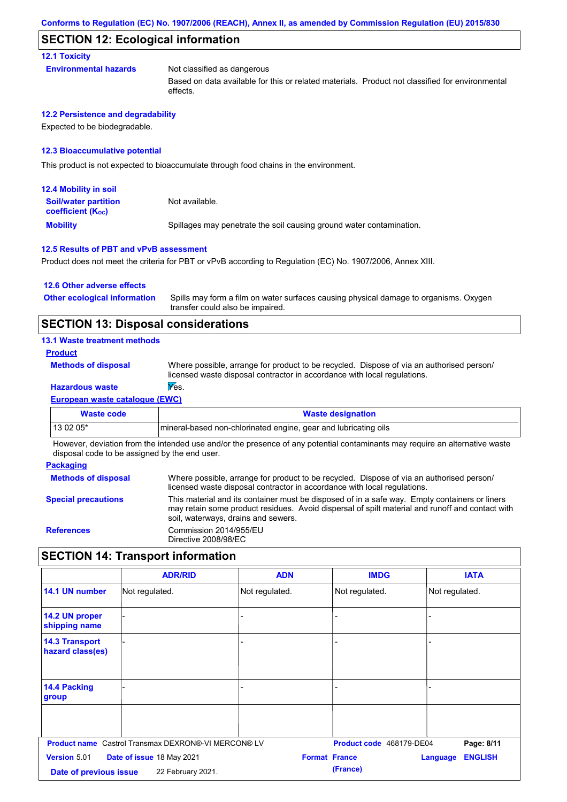### **SECTION 12: Ecological information**

#### **12.1 Toxicity**

**Environmental hazards** Not classified as dangerous

Based on data available for this or related materials. Product not classified for environmental effects.

#### **12.2 Persistence and degradability**

Expected to be biodegradable.

#### **12.3 Bioaccumulative potential**

This product is not expected to bioaccumulate through food chains in the environment.

| <b>12.4 Mobility in soil</b>                            |                                                                      |
|---------------------------------------------------------|----------------------------------------------------------------------|
| <b>Soil/water partition</b><br><b>coefficient (Koc)</b> | Not available.                                                       |
| <b>Mobility</b>                                         | Spillages may penetrate the soil causing ground water contamination. |

#### **12.5 Results of PBT and vPvB assessment**

Product does not meet the criteria for PBT or vPvB according to Regulation (EC) No. 1907/2006, Annex XIII.

#### **12.6 Other adverse effects**

Spills may form a film on water surfaces causing physical damage to organisms. Oxygen transfer could also be impaired. **Other ecological information**

## **SECTION 13: Disposal considerations**

#### **13.1 Waste treatment methods**

#### **Product**

**Methods of disposal**

Where possible, arrange for product to be recycled. Dispose of via an authorised person/ licensed waste disposal contractor in accordance with local regulations.

## **Hazardous waste Yes.**

**European waste catalogue (EWC)**

| <b>Waste code</b>                                                                                                           | <b>Waste designation</b>                                        |  |  |  |
|-----------------------------------------------------------------------------------------------------------------------------|-----------------------------------------------------------------|--|--|--|
| $130205*$                                                                                                                   | mineral-based non-chlorinated engine, gear and lubricating oils |  |  |  |
| However, deviation from the intended use and/or the presence of any potential contaminante may require an alternative waste |                                                                 |  |  |  |

However, deviation from the intended use and/or the presence of any potential contaminants may require an alternative waste disposal code to be assigned by the end user.

#### **Packaging Methods of disposal Special precautions** Where possible, arrange for product to be recycled. Dispose of via an authorised person/ licensed waste disposal contractor in accordance with local regulations. This material and its container must be disposed of in a safe way. Empty containers or liners may retain some product residues. Avoid dispersal of spilt material and runoff and contact with soil, waterways, drains and sewers. **References** Commission 2014/955/EU Directive 2008/98/EC

## **SECTION 14: Transport information**

|                                           | <b>ADR/RID</b>                                             | <b>ADN</b>           | <b>IMDG</b>              | <b>IATA</b>                |
|-------------------------------------------|------------------------------------------------------------|----------------------|--------------------------|----------------------------|
| 14.1 UN number                            | Not regulated.                                             | Not regulated.       | Not regulated.           | Not regulated.             |
| 14.2 UN proper<br>shipping name           |                                                            |                      |                          |                            |
| <b>14.3 Transport</b><br>hazard class(es) |                                                            |                      |                          |                            |
| 14.4 Packing<br>group                     |                                                            |                      |                          |                            |
|                                           |                                                            |                      |                          |                            |
|                                           | <b>Product name</b> Castrol Transmax DEXRON®-VI MERCON® LV |                      | Product code 468179-DE04 | Page: 8/11                 |
| Version 5.01                              | Date of issue 18 May 2021                                  | <b>Format France</b> |                          | <b>ENGLISH</b><br>Language |
| Date of previous issue                    | 22 February 2021.                                          | (France)             |                          |                            |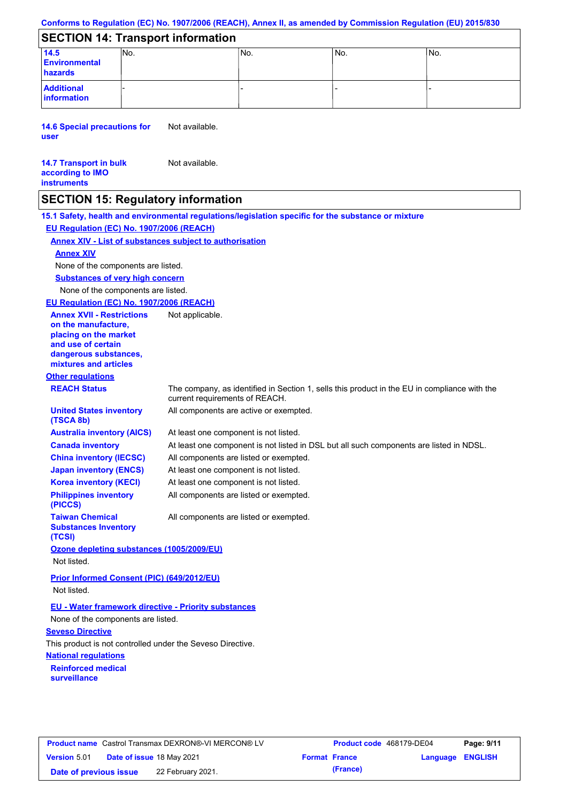## **Conforms to Regulation (EC) No. 1907/2006 (REACH), Annex II, as amended by Commission Regulation (EU) 2015/830**

## **SECTION 14: Transport information**

| 14.5<br><b>Environmental</b><br>hazards | INo. | IN <sub>o</sub> | IN <sub>o</sub> | No. |
|-----------------------------------------|------|-----------------|-----------------|-----|
| <b>Additional</b><br>information        |      |                 |                 |     |

**14.6 Special precautions for user** Not available.

#### **14.7 Transport in bulk according to IMO instruments** Not available.

## **SECTION 15: Regulatory information**

**National regulations Other regulations REACH Status** The company, as identified in Section 1, sells this product in the EU in compliance with the current requirements of REACH. **Reinforced medical surveillance 15.1 Safety, health and environmental regulations/legislation specific for the substance or mixture EU Regulation (EC) No. 1907/2006 (REACH) Annex XIV - List of substances subject to authorisation Substances of very high concern** None of the components are listed. At least one component is not listed. At least one component is not listed in DSL but all such components are listed in NDSL. All components are listed or exempted. At least one component is not listed. All components are active or exempted. At least one component is not listed. All components are listed or exempted. **United States inventory (TSCA 8b) Australia inventory (AICS) Canada inventory China inventory (IECSC) Japan inventory (ENCS) Korea inventory (KECI) Philippines inventory (PICCS) Taiwan Chemical Substances Inventory (TCSI)** All components are listed or exempted. **Ozone depleting substances (1005/2009/EU)** Not listed. **Prior Informed Consent (PIC) (649/2012/EU)** Not listed. **Seveso Directive** This product is not controlled under the Seveso Directive. None of the components are listed. **Annex XIV EU - Water framework directive - Priority substances** None of the components are listed. **EU Regulation (EC) No. 1907/2006 (REACH) Annex XVII - Restrictions on the manufacture, placing on the market and use of certain dangerous substances, mixtures and articles** Not applicable.

| <b>Product name</b> Castrol Transmax DEXRON®-VI MERCON® LV |  |                           | <b>Product code</b> 468179-DE04 | Page: 9/11           |                  |  |
|------------------------------------------------------------|--|---------------------------|---------------------------------|----------------------|------------------|--|
| <b>Version 5.01</b>                                        |  | Date of issue 18 May 2021 |                                 | <b>Format France</b> | Language ENGLISH |  |
| Date of previous issue                                     |  | 22 February 2021.         |                                 | (France)             |                  |  |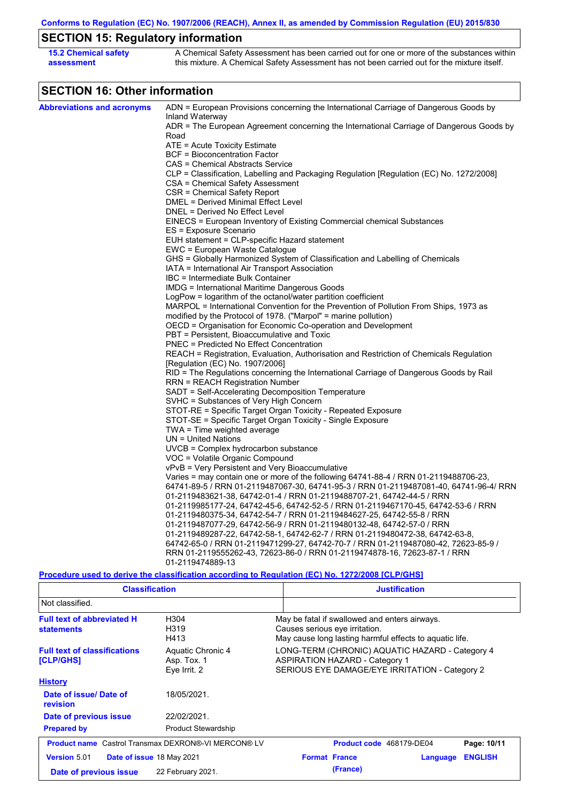**Conforms to Regulation (EC) No. 1907/2006 (REACH), Annex II, as amended by Commission Regulation (EU) 2015/830**

# **SECTION 15: Regulatory information**

| <b>15.2 Chemical safety</b> | A Chemical Safety Assessment has been carried out for one or more of the substances within  |
|-----------------------------|---------------------------------------------------------------------------------------------|
| assessment                  | this mixture. A Chemical Safety Assessment has not been carried out for the mixture itself. |

## **SECTION 16: Other information**

| <b>Abbreviations and acronyms</b> | ADN = European Provisions concerning the International Carriage of Dangerous Goods by                       |
|-----------------------------------|-------------------------------------------------------------------------------------------------------------|
|                                   |                                                                                                             |
|                                   | Inland Waterway<br>ADR = The European Agreement concerning the International Carriage of Dangerous Goods by |
|                                   | Road                                                                                                        |
|                                   | ATE = Acute Toxicity Estimate                                                                               |
|                                   | <b>BCF</b> = Bioconcentration Factor                                                                        |
|                                   | CAS = Chemical Abstracts Service                                                                            |
|                                   | CLP = Classification, Labelling and Packaging Regulation [Regulation (EC) No. 1272/2008]                    |
|                                   | CSA = Chemical Safety Assessment                                                                            |
|                                   | CSR = Chemical Safety Report                                                                                |
|                                   | DMEL = Derived Minimal Effect Level                                                                         |
|                                   | DNEL = Derived No Effect Level                                                                              |
|                                   | EINECS = European Inventory of Existing Commercial chemical Substances                                      |
|                                   | ES = Exposure Scenario                                                                                      |
|                                   | EUH statement = CLP-specific Hazard statement                                                               |
|                                   | EWC = European Waste Catalogue                                                                              |
|                                   | GHS = Globally Harmonized System of Classification and Labelling of Chemicals                               |
|                                   | IATA = International Air Transport Association                                                              |
|                                   | IBC = Intermediate Bulk Container                                                                           |
|                                   | <b>IMDG = International Maritime Dangerous Goods</b>                                                        |
|                                   | LogPow = logarithm of the octanol/water partition coefficient                                               |
|                                   | MARPOL = International Convention for the Prevention of Pollution From Ships, 1973 as                       |
|                                   | modified by the Protocol of 1978. ("Marpol" = marine pollution)                                             |
|                                   | OECD = Organisation for Economic Co-operation and Development                                               |
|                                   | PBT = Persistent, Bioaccumulative and Toxic                                                                 |
|                                   | PNEC = Predicted No Effect Concentration                                                                    |
|                                   | REACH = Registration, Evaluation, Authorisation and Restriction of Chemicals Regulation                     |
|                                   | [Regulation (EC) No. 1907/2006]                                                                             |
|                                   | RID = The Regulations concerning the International Carriage of Dangerous Goods by Rail                      |
|                                   | RRN = REACH Registration Number                                                                             |
|                                   | SADT = Self-Accelerating Decomposition Temperature                                                          |
|                                   | SVHC = Substances of Very High Concern                                                                      |
|                                   | STOT-RE = Specific Target Organ Toxicity - Repeated Exposure                                                |
|                                   | STOT-SE = Specific Target Organ Toxicity - Single Exposure                                                  |
|                                   | TWA = Time weighted average                                                                                 |
|                                   | $UN = United Nations$                                                                                       |
|                                   | $UVCB = Complex\;hydrocarbon\; substance$                                                                   |
|                                   | VOC = Volatile Organic Compound                                                                             |
|                                   | vPvB = Very Persistent and Very Bioaccumulative                                                             |
|                                   | Varies = may contain one or more of the following 64741-88-4 / RRN 01-2119488706-23,                        |
|                                   | 64741-89-5 / RRN 01-2119487067-30, 64741-95-3 / RRN 01-2119487081-40, 64741-96-4/ RRN                       |
|                                   | 01-2119483621-38, 64742-01-4 / RRN 01-2119488707-21, 64742-44-5 / RRN                                       |
|                                   | 01-2119985177-24, 64742-45-6, 64742-52-5 / RRN 01-2119467170-45, 64742-53-6 / RRN                           |
|                                   | 01-2119480375-34, 64742-54-7 / RRN 01-2119484627-25, 64742-55-8 / RRN                                       |
|                                   | 01-2119487077-29, 64742-56-9 / RRN 01-2119480132-48, 64742-57-0 / RRN                                       |
|                                   | 01-2119489287-22, 64742-58-1, 64742-62-7 / RRN 01-2119480472-38, 64742-63-8,                                |
|                                   | 64742-65-0 / RRN 01-2119471299-27, 64742-70-7 / RRN 01-2119487080-42, 72623-85-9 /                          |
|                                   | RRN 01-2119555262-43, 72623-86-0 / RRN 01-2119474878-16, 72623-87-1 / RRN                                   |
|                                   | 01-2119474889-13                                                                                            |

#### **Procedure used to derive the classification according to Regulation (EC) No. 1272/2008 [CLP/GHS]**

| <b>Classification</b>                                      |                                                  | <b>Justification</b>                                                                                                                       |          |                |  |  |
|------------------------------------------------------------|--------------------------------------------------|--------------------------------------------------------------------------------------------------------------------------------------------|----------|----------------|--|--|
| Not classified.                                            |                                                  |                                                                                                                                            |          |                |  |  |
| <b>Full text of abbreviated H</b><br><b>statements</b>     | H304<br>H319<br>H413                             | May be fatal if swallowed and enters airways.<br>Causes serious eye irritation.<br>May cause long lasting harmful effects to aquatic life. |          |                |  |  |
| <b>Full text of classifications</b><br>[CLP/GHS]           | Aquatic Chronic 4<br>Asp. Tox. 1<br>Eye Irrit. 2 | LONG-TERM (CHRONIC) AQUATIC HAZARD - Category 4<br><b>ASPIRATION HAZARD - Category 1</b><br>SERIOUS EYE DAMAGE/EYE IRRITATION - Category 2 |          |                |  |  |
| <b>History</b>                                             |                                                  |                                                                                                                                            |          |                |  |  |
| Date of issue/Date of<br>revision                          | 18/05/2021.                                      |                                                                                                                                            |          |                |  |  |
| Date of previous issue                                     | 22/02/2021.                                      |                                                                                                                                            |          |                |  |  |
| <b>Prepared by</b>                                         | <b>Product Stewardship</b>                       |                                                                                                                                            |          |                |  |  |
| <b>Product name</b> Castrol Transmax DEXRON®-VI MERCON® LV |                                                  | <b>Product code</b> 468179-DE04                                                                                                            |          | Page: 10/11    |  |  |
| <b>Version 5.01</b><br><b>Date of issue 18 May 2021</b>    |                                                  | <b>Format France</b>                                                                                                                       | Language | <b>ENGLISH</b> |  |  |
| 22 February 2021.<br>Date of previous issue                |                                                  | (France)                                                                                                                                   |          |                |  |  |